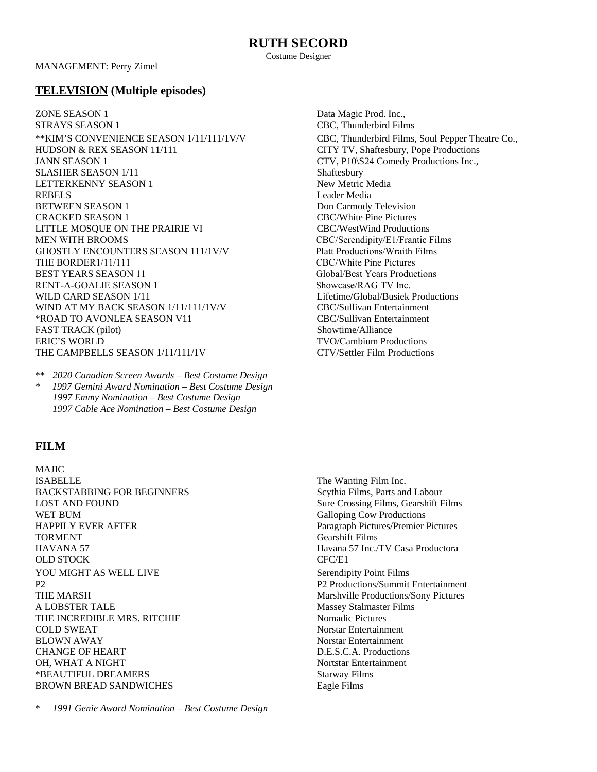Costume Designer

MANAGEMENT: Perry Zimel

## **TELEVISION (Multiple episodes)**

**ZONE SEASON 1** Data Magic Prod. Inc., STRAYS SEASON 1 CBC, Thunderbird Films \*\*KIM'S CONVENIENCE SEASON 1/11/111/1V/V CBC, Thunderbird Films, Soul Pepper Theatre Co., HUDSON & REX SEASON 11/111 CITY TV, Shaftesbury, Pope Productions JANN SEASON 1 CTV, P10\S24 Comedy Productions Inc., SLASHER SEASON 1/11 Shaftesbury LETTERKENNY SEASON 1 New Metric Media REBELS Leader Media BETWEEN SEASON 1 Don Carmody Television CRACKED SEASON 1 CBC/White Pine Pictures LITTLE MOSQUE ON THE PRAIRIE VI CBC/WestWind Productions MEN WITH BROOMS THE SERVICE OF CONSTRUCTION CONTROLLED TO CONTRACT CONTRACT CONTRACT CONTRACT OF CONTRACT OF CONTRACT OF CONTRACT OF CONTRACT OF CONTRACT OF CONTRACT OF CONTRACT OF CONTRACT OF CONTRACT OF CONTRACT OF CONTR GHOSTLY ENCOUNTERS SEASON 111/1V/V Platt Productions/Wraith Films THE BORDER1/11/111 CBC/White Pine Pictures<br>
REST YEARS SEASON 11 Global/Best Years Productions BEST YEARS SEASON 11 RENT-A-GOALIE SEASON 1 Showcase/RAG TV Inc. WILD CARD SEASON 1/11 11 Lifetime/Global/Busiek Productions WIND AT MY BACK SEASON 1/11/11/1V/V CBC/Sullivan Entertainment \*ROAD TO AVONLEA SEASON V11 CBC/Sullivan Entertainment FAST TRACK (pilot) Showtime/Alliance ERIC'S WORLD TVO/Cambium Productions THE CAMPBELLS SEASON 1/11/11/1V CTV/Settler Film Productions

\*\* *2020 Canadian Screen Awards – Best Costume Design*

*\* 1997 Gemini Award Nomination – Best Costume Design 1997 Emmy Nomination – Best Costume Design 1997 Cable Ace Nomination – Best Costume Design*

# **FILM**

MAJIC **ISABELLE** The Wanting Film Inc. BACKSTABBING FOR BEGINNERS Scythia Films, Parts and Labour LOST AND FOUND Sure Crossing Films, Gearshift Films WET BUM Galloping Cow Productions HAPPILY EVER AFTER **Paragraph Pictures/Premier Pictures** TORMENT Gearshift Films HAVANA 57 Havana 57 Inc./TV Casa Productora OLD STOCK CFC/E1 YOU MIGHT AS WELL LIVE Serendipity Point Films P2 P2 Productions/Summit Entertainment THE MARSH Marshville Productions/Sony Pictures A LOBSTER TALE Massey Stalmaster Films THE INCREDIBLE MRS. RITCHIE Nomadic Pictures **COLD SWEAT** Norstar Entertainment BLOWN AWAY Norstar Entertainment CHANGE OF HEART D.E.S.C.A. Productions OH, WHAT A NIGHT NORTH NORTH NORTH NORTH NORTH NORTH NORTH NORTH NORTH NORTH NORTH NORTH NORTH NORTH NORTH NORTH NORTH NORTH NORTH NORTH NORTH NORTH NORTH NORTH NORTH NORTH NORTH NORTH NORTH NORTH NORTH NORTH NORTH NORTH N \*BEAUTIFUL DREAMERS Starway Films BROWN BREAD SANDWICHES Eagle Films